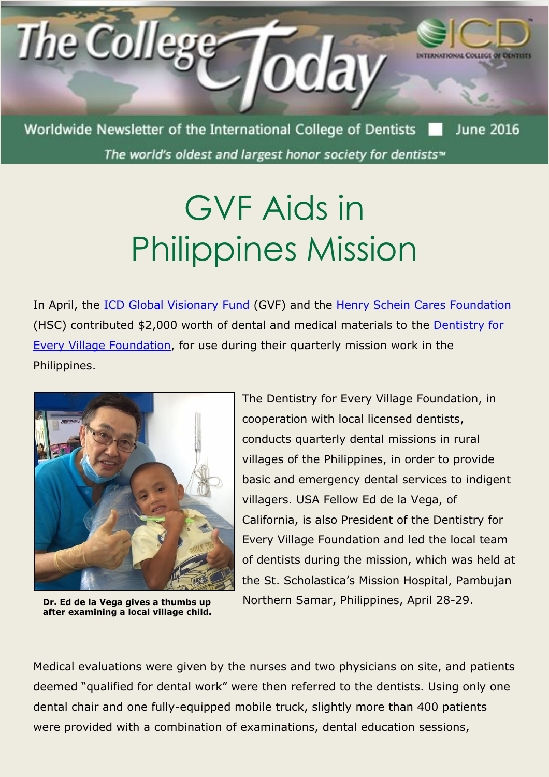

The world's oldest and largest honor society for dentists<sup>™</sup>

## GVF Aids in Philippines Mission

In April, the [ICD Global Visionary Fund](http://www.icd.org/global-visionary-fund/) (GVF) and the [Henry Schein Cares Foundation](http://www.hscaresfoundation.org/) (HSC) contributed \$2,000 worth of dental and medical materials to the [Dentistry for](https://www.dentistryforeveryvillagefoundation.com/)  [Every Village Foundation,](https://www.dentistryforeveryvillagefoundation.com/) for use during their quarterly mission work in the Philippines.



**Dr. Ed de la Vega gives a thumbs up after examining a local village child.**

The Dentistry for Every Village Foundation, in cooperation with local licensed dentists, conducts quarterly dental missions in rural villages of the Philippines, in order to provide basic and emergency dental services to indigent villagers. USA Fellow Ed de la Vega, of California, is also President of the Dentistry for Every Village Foundation and led the local team of dentists during the mission, which was held at the St. Scholastica's Mission Hospital, Pambujan Northern Samar, Philippines, April 28-29.

Medical evaluations were given by the nurses and two physicians on site, and patients deemed "qualified for dental work" were then referred to the dentists. Using only one dental chair and one fully-equipped mobile truck, slightly more than 400 patients were provided with a combination of examinations, dental education sessions,